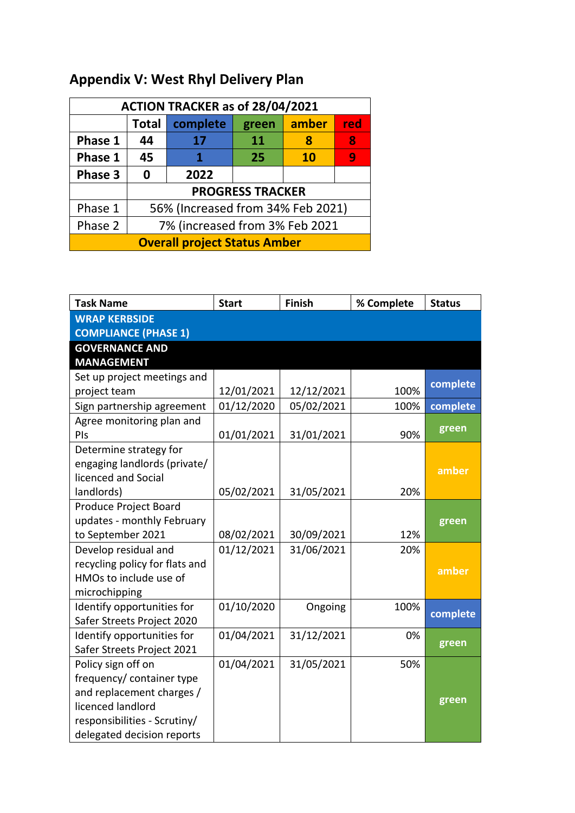## **Appendix V: West Rhyl Delivery Plan**

| ACTION TRACKER as of 28/04/2021     |                                   |          |       |       |     |  |
|-------------------------------------|-----------------------------------|----------|-------|-------|-----|--|
|                                     | <b>Total</b>                      | complete | green | amber | red |  |
| Phase 1                             | 44                                | 17       | 11    |       | 8   |  |
| Phase 1                             | 45                                | 1        | 25    | 10    | 9   |  |
| Phase 3                             | 0                                 | 2022     |       |       |     |  |
| <b>PROGRESS TRACKER</b>             |                                   |          |       |       |     |  |
| Phase 1                             | 56% (Increased from 34% Feb 2021) |          |       |       |     |  |
| Phase 2                             | 7% (increased from 3% Feb 2021    |          |       |       |     |  |
| <b>Overall project Status Amber</b> |                                   |          |       |       |     |  |

| <b>Task Name</b>               | <b>Start</b> | <b>Finish</b> | % Complete | <b>Status</b> |
|--------------------------------|--------------|---------------|------------|---------------|
| <b>WRAP KERBSIDE</b>           |              |               |            |               |
| <b>COMPLIANCE (PHASE 1)</b>    |              |               |            |               |
| <b>GOVERNANCE AND</b>          |              |               |            |               |
| <b>MANAGEMENT</b>              |              |               |            |               |
| Set up project meetings and    |              |               |            | complete      |
| project team                   | 12/01/2021   | 12/12/2021    | 100%       |               |
| Sign partnership agreement     | 01/12/2020   | 05/02/2021    | 100%       | complete      |
| Agree monitoring plan and      |              |               |            | green         |
| PIs                            | 01/01/2021   | 31/01/2021    | 90%        |               |
| Determine strategy for         |              |               |            |               |
| engaging landlords (private/   |              |               |            | amber         |
| licenced and Social            |              |               |            |               |
| landlords)                     | 05/02/2021   | 31/05/2021    | 20%        |               |
| Produce Project Board          |              |               |            |               |
| updates - monthly February     |              |               |            | green         |
| to September 2021              | 08/02/2021   | 30/09/2021    | 12%        |               |
| Develop residual and           | 01/12/2021   | 31/06/2021    | 20%        |               |
| recycling policy for flats and |              |               |            | amber         |
| HMOs to include use of         |              |               |            |               |
| microchipping                  |              |               |            |               |
| Identify opportunities for     | 01/10/2020   | Ongoing       | 100%       | complete      |
| Safer Streets Project 2020     |              |               |            |               |
| Identify opportunities for     | 01/04/2021   | 31/12/2021    | 0%         | green         |
| Safer Streets Project 2021     |              |               |            |               |
| Policy sign off on             | 01/04/2021   | 31/05/2021    | 50%        |               |
| frequency/ container type      |              |               |            |               |
| and replacement charges /      |              |               |            | green         |
| licenced landlord              |              |               |            |               |
| responsibilities - Scrutiny/   |              |               |            |               |
| delegated decision reports     |              |               |            |               |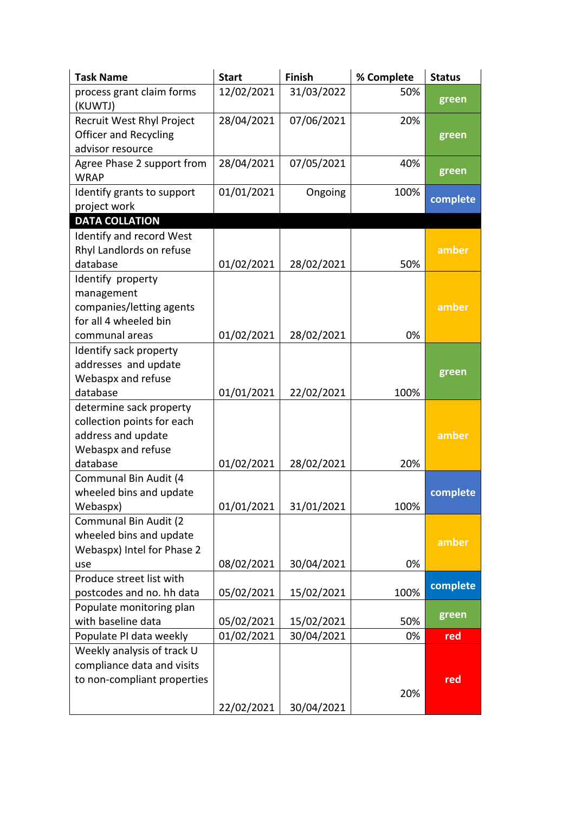| <b>Task Name</b>                                         | <b>Start</b> | Finish     | % Complete | <b>Status</b> |
|----------------------------------------------------------|--------------|------------|------------|---------------|
| process grant claim forms<br>(KUWTJ)                     | 12/02/2021   | 31/03/2022 | 50%        | green         |
| Recruit West Rhyl Project                                | 28/04/2021   | 07/06/2021 | 20%        |               |
| <b>Officer and Recycling</b>                             |              |            |            | green         |
| advisor resource                                         |              |            |            |               |
| Agree Phase 2 support from<br><b>WRAP</b>                | 28/04/2021   | 07/05/2021 | 40%        | green         |
| Identify grants to support                               | 01/01/2021   | Ongoing    | 100%       | complete      |
| project work                                             |              |            |            |               |
| <b>DATA COLLATION</b>                                    |              |            |            |               |
| Identify and record West                                 |              |            |            |               |
| Rhyl Landlords on refuse                                 |              |            |            | amber         |
| database                                                 | 01/02/2021   | 28/02/2021 | 50%        |               |
| Identify property                                        |              |            |            |               |
| management<br>companies/letting agents                   |              |            |            | amber         |
| for all 4 wheeled bin                                    |              |            |            |               |
| communal areas                                           | 01/02/2021   | 28/02/2021 | 0%         |               |
| Identify sack property                                   |              |            |            |               |
| addresses and update                                     |              |            |            |               |
| Webaspx and refuse                                       |              |            |            | green         |
| database                                                 | 01/01/2021   | 22/02/2021 | 100%       |               |
| determine sack property                                  |              |            |            |               |
| collection points for each                               |              |            |            |               |
| address and update                                       |              |            |            | amber         |
| Webaspx and refuse                                       |              |            |            |               |
| database                                                 | 01/02/2021   | 28/02/2021 | 20%        |               |
| Communal Bin Audit (4                                    |              |            |            |               |
| wheeled bins and update                                  |              |            |            | complete      |
| Webaspx)                                                 | 01/01/2021   | 31/01/2021 | 100%       |               |
| Communal Bin Audit (2                                    |              |            |            |               |
| wheeled bins and update                                  |              |            |            | amber         |
| Webaspx) Intel for Phase 2                               |              |            |            |               |
| use                                                      | 08/02/2021   | 30/04/2021 | 0%         |               |
| Produce street list with                                 |              |            |            | complete      |
| postcodes and no. hh data                                | 05/02/2021   | 15/02/2021 | 100%       |               |
| Populate monitoring plan                                 |              |            |            | green         |
| with baseline data                                       | 05/02/2021   | 15/02/2021 | 50%        |               |
| Populate PI data weekly                                  | 01/02/2021   | 30/04/2021 | 0%         | red           |
| Weekly analysis of track U<br>compliance data and visits |              |            |            |               |
| to non-compliant properties                              |              |            |            | red           |
|                                                          |              |            | 20%        |               |
|                                                          | 22/02/2021   | 30/04/2021 |            |               |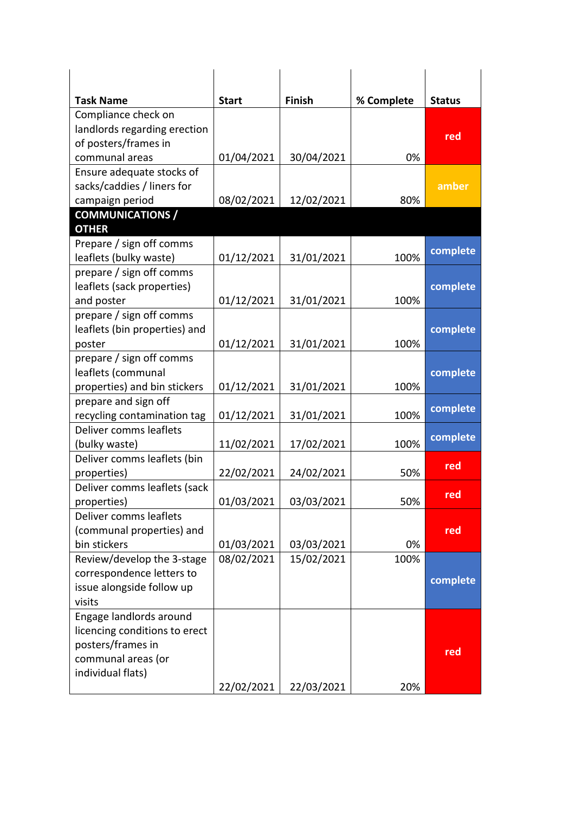| <b>Task Name</b>                                    | <b>Start</b> | <b>Finish</b> | % Complete | <b>Status</b> |
|-----------------------------------------------------|--------------|---------------|------------|---------------|
| Compliance check on                                 |              |               |            |               |
| landlords regarding erection                        |              |               |            | red           |
| of posters/frames in                                |              |               |            |               |
| communal areas                                      | 01/04/2021   | 30/04/2021    | 0%         |               |
| Ensure adequate stocks of                           |              |               |            |               |
| sacks/caddies / liners for                          |              |               |            | amber         |
| campaign period                                     | 08/02/2021   | 12/02/2021    | 80%        |               |
| <b>COMMUNICATIONS /</b>                             |              |               |            |               |
| <b>OTHER</b>                                        |              |               |            |               |
| Prepare / sign off comms                            |              |               |            | complete      |
| leaflets (bulky waste)                              | 01/12/2021   | 31/01/2021    | 100%       |               |
| prepare / sign off comms                            |              |               |            |               |
| leaflets (sack properties)                          |              |               |            | complete      |
| and poster                                          | 01/12/2021   | 31/01/2021    | 100%       |               |
| prepare / sign off comms                            |              |               |            |               |
| leaflets (bin properties) and                       |              |               | 100%       | complete      |
| poster                                              | 01/12/2021   | 31/01/2021    |            |               |
| prepare / sign off comms                            |              |               |            |               |
| leaflets (communal                                  |              |               |            | complete      |
| properties) and bin stickers                        | 01/12/2021   | 31/01/2021    | 100%       |               |
| prepare and sign off<br>recycling contamination tag |              |               | 100%       | complete      |
| Deliver comms leaflets                              | 01/12/2021   | 31/01/2021    |            |               |
| (bulky waste)                                       | 11/02/2021   | 17/02/2021    | 100%       | complete      |
| Deliver comms leaflets (bin                         |              |               |            |               |
| properties)                                         | 22/02/2021   | 24/02/2021    | 50%        | red           |
| Deliver comms leaflets (sack                        |              |               |            |               |
| properties)                                         | 01/03/2021   | 03/03/2021    | 50%        | red           |
| Deliver comms leaflets                              |              |               |            |               |
| (communal properties) and                           |              |               |            | red           |
| bin stickers                                        | 01/03/2021   | 03/03/2021    | 0%         |               |
| Review/develop the 3-stage                          | 08/02/2021   | 15/02/2021    | 100%       |               |
| correspondence letters to                           |              |               |            |               |
| issue alongside follow up                           |              |               |            | complete      |
| visits                                              |              |               |            |               |
| Engage landlords around                             |              |               |            |               |
| licencing conditions to erect                       |              |               |            |               |
| posters/frames in                                   |              |               |            |               |
| communal areas (or                                  |              |               |            | red           |
| individual flats)                                   |              |               |            |               |
|                                                     | 22/02/2021   | 22/03/2021    |            |               |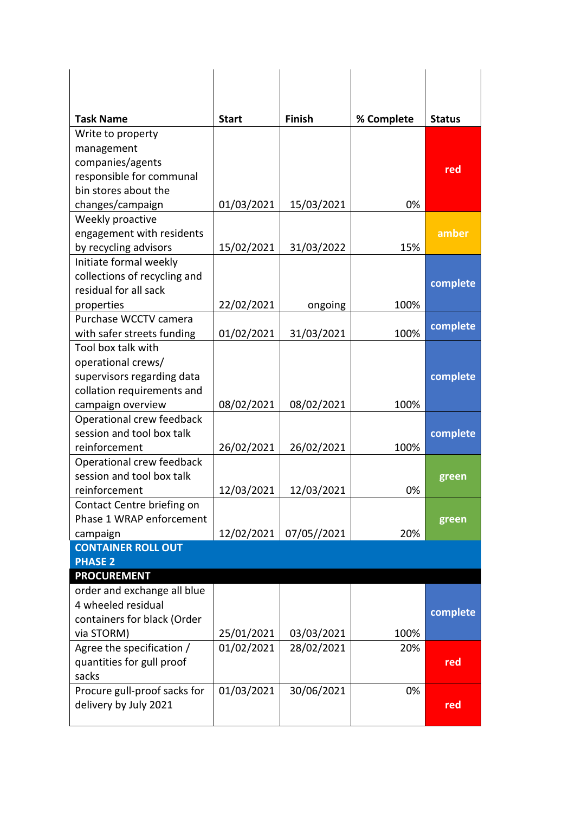| <b>Task Name</b>                                       | <b>Start</b> | <b>Finish</b> | % Complete | <b>Status</b> |
|--------------------------------------------------------|--------------|---------------|------------|---------------|
| Write to property                                      |              |               |            |               |
| management                                             |              |               |            |               |
| companies/agents                                       |              |               |            | red           |
| responsible for communal                               |              |               |            |               |
| bin stores about the                                   |              |               | 0%         |               |
| changes/campaign<br>Weekly proactive                   | 01/03/2021   | 15/03/2021    |            |               |
| engagement with residents                              |              |               |            | amber         |
| by recycling advisors                                  | 15/02/2021   | 31/03/2022    | 15%        |               |
| Initiate formal weekly                                 |              |               |            |               |
| collections of recycling and                           |              |               |            |               |
| residual for all sack                                  |              |               |            | complete      |
| properties                                             | 22/02/2021   | ongoing       | 100%       |               |
| Purchase WCCTV camera                                  |              |               |            |               |
| with safer streets funding                             | 01/02/2021   | 31/03/2021    | 100%       | complete      |
| Tool box talk with                                     |              |               |            |               |
| operational crews/                                     |              |               |            |               |
| supervisors regarding data                             |              |               |            | complete      |
| collation requirements and                             |              |               |            |               |
| campaign overview                                      | 08/02/2021   | 08/02/2021    | 100%       |               |
| Operational crew feedback                              |              |               |            |               |
| session and tool box talk                              |              |               |            | complete      |
| reinforcement                                          | 26/02/2021   | 26/02/2021    | 100%       |               |
| Operational crew feedback                              |              |               |            |               |
| session and tool box talk                              |              |               |            | green         |
| reinforcement                                          | 12/03/2021   | 12/03/2021    | 0%         |               |
| Contact Centre briefing on<br>Phase 1 WRAP enforcement |              |               |            |               |
| campaign                                               | 12/02/2021   | 07/05//2021   | 20%        | green         |
| <b>CONTAINER ROLL OUT</b>                              |              |               |            |               |
| <b>PHASE 2</b>                                         |              |               |            |               |
| <b>PROCUREMENT</b>                                     |              |               |            |               |
| order and exchange all blue                            |              |               |            |               |
| 4 wheeled residual                                     |              |               |            |               |
| containers for black (Order                            |              |               |            | complete      |
| via STORM)                                             | 25/01/2021   | 03/03/2021    | 100%       |               |
| Agree the specification /                              | 01/02/2021   | 28/02/2021    | 20%        |               |
| quantities for gull proof                              |              |               |            | red           |
| sacks                                                  |              |               |            |               |
| Procure gull-proof sacks for                           | 01/03/2021   | 30/06/2021    | 0%         |               |
| delivery by July 2021                                  |              |               |            | red           |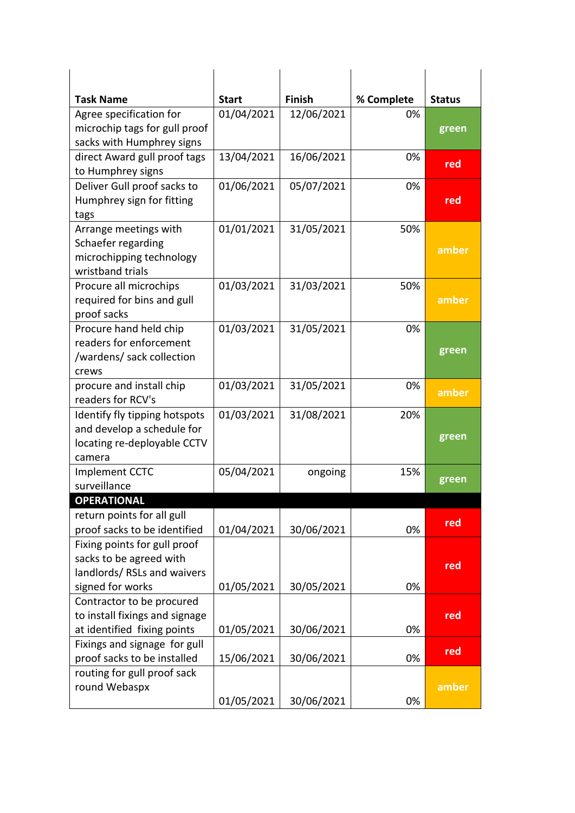| <b>Task Name</b>                                                                                           | <b>Start</b> | <b>Finish</b> | % Complete | <b>Status</b> |
|------------------------------------------------------------------------------------------------------------|--------------|---------------|------------|---------------|
| Agree specification for<br>microchip tags for gull proof                                                   | 01/04/2021   | 12/06/2021    | 0%         | green         |
| sacks with Humphrey signs<br>direct Award gull proof tags<br>to Humphrey signs                             | 13/04/2021   | 16/06/2021    | 0%         | red           |
| Deliver Gull proof sacks to<br>Humphrey sign for fitting<br>tags                                           | 01/06/2021   | 05/07/2021    | 0%         | red           |
| Arrange meetings with<br>Schaefer regarding<br>microchipping technology<br>wristband trials                | 01/01/2021   | 31/05/2021    | 50%        | amber         |
| Procure all microchips<br>required for bins and gull<br>proof sacks                                        | 01/03/2021   | 31/03/2021    | 50%        | amber         |
| Procure hand held chip<br>readers for enforcement<br>/wardens/ sack collection<br>crews                    | 01/03/2021   | 31/05/2021    | 0%         | green         |
| procure and install chip<br>readers for RCV's                                                              | 01/03/2021   | 31/05/2021    | 0%         | amber         |
| Identify fly tipping hotspots<br>and develop a schedule for<br>locating re-deployable CCTV<br>camera       | 01/03/2021   | 31/08/2021    | 20%        | green         |
| Implement CCTC<br>surveillance                                                                             | 05/04/2021   | ongoing       | 15%        | green         |
| <b>OPERATIONAL</b>                                                                                         |              |               |            |               |
| return points for all gull<br>proof sacks to be identified                                                 | 01/04/2021   | 30/06/2021    | 0%         | red           |
| Fixing points for gull proof<br>sacks to be agreed with<br>landlords/ RSLs and waivers<br>signed for works | 01/05/2021   | 30/05/2021    | 0%         | red           |
| Contractor to be procured<br>to install fixings and signage<br>at identified fixing points                 | 01/05/2021   | 30/06/2021    | 0%         | red           |
| Fixings and signage for gull<br>proof sacks to be installed                                                | 15/06/2021   | 30/06/2021    | 0%         | red           |
| routing for gull proof sack<br>round Webaspx                                                               | 01/05/2021   | 30/06/2021    | 0%         | amber         |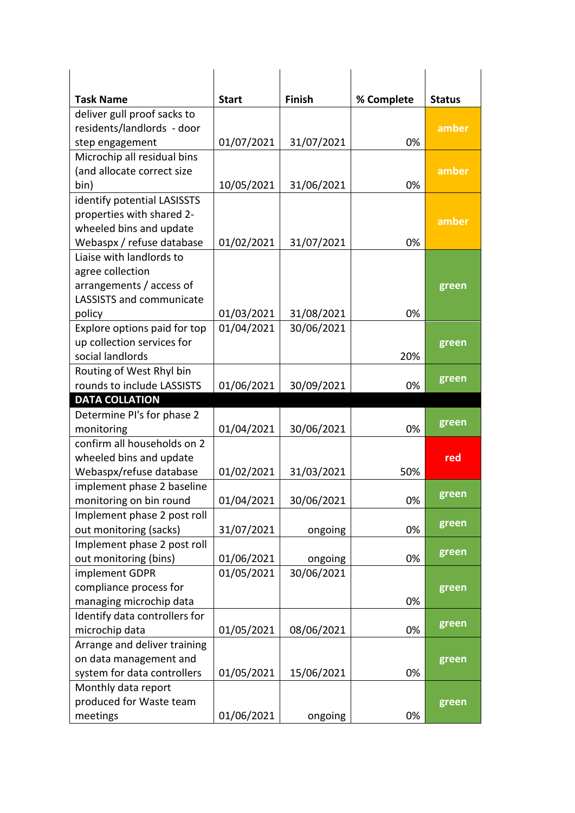| <b>Task Name</b>                    | <b>Start</b> | <b>Finish</b> | % Complete | <b>Status</b> |
|-------------------------------------|--------------|---------------|------------|---------------|
| deliver gull proof sacks to         |              |               |            |               |
| residents/landlords - door          |              |               |            | amber         |
| step engagement                     | 01/07/2021   | 31/07/2021    | 0%         |               |
| Microchip all residual bins         |              |               |            |               |
| (and allocate correct size          |              |               |            | amber         |
| bin)                                | 10/05/2021   | 31/06/2021    | 0%         |               |
| identify potential LASISSTS         |              |               |            |               |
| properties with shared 2-           |              |               |            |               |
| wheeled bins and update             |              |               |            | amber         |
| Webaspx / refuse database           | 01/02/2021   | 31/07/2021    | 0%         |               |
| Liaise with landlords to            |              |               |            |               |
| agree collection                    |              |               |            |               |
| arrangements / access of            |              |               |            | green         |
| LASSISTS and communicate            |              |               |            |               |
| policy                              | 01/03/2021   | 31/08/2021    | 0%         |               |
| Explore options paid for top        | 01/04/2021   | 30/06/2021    |            |               |
| up collection services for          |              |               |            | green         |
| social landlords                    |              |               | 20%        |               |
| Routing of West Rhyl bin            |              |               |            | green         |
| rounds to include LASSISTS          | 01/06/2021   | 30/09/2021    | 0%         |               |
| <b>DATA COLLATION</b>               |              |               |            |               |
| Determine PI's for phase 2          |              |               |            | green         |
| monitoring                          | 01/04/2021   | 30/06/2021    | 0%         |               |
| confirm all households on 2         |              |               |            |               |
| wheeled bins and update             |              |               |            | red           |
| Webaspx/refuse database             | 01/02/2021   | 31/03/2021    | 50%        |               |
| implement phase 2 baseline          |              |               |            | green         |
| monitoring on bin round             | 01/04/2021   | 30/06/2021    | 0%         |               |
| Implement phase 2 post roll         |              |               |            | green         |
| out monitoring (sacks)              | 31/07/2021   | ongoing       | 0%         |               |
| Implement phase 2 post roll         |              |               |            | green         |
| out monitoring (bins)               | 01/06/2021   | ongoing       | 0%         |               |
| implement GDPR                      | 01/05/2021   | 30/06/2021    |            |               |
| compliance process for              |              |               |            | green         |
| managing microchip data             |              |               | 0%         |               |
| Identify data controllers for       |              |               |            | green         |
| microchip data                      | 01/05/2021   | 08/06/2021    | 0%         |               |
| Arrange and deliver training        |              |               |            |               |
| on data management and              |              |               |            | green         |
|                                     |              |               | 0%         |               |
| system for data controllers         | 01/05/2021   | 15/06/2021    |            |               |
| Monthly data report                 |              |               |            |               |
| produced for Waste team<br>meetings | 01/06/2021   | ongoing       | 0%         | green         |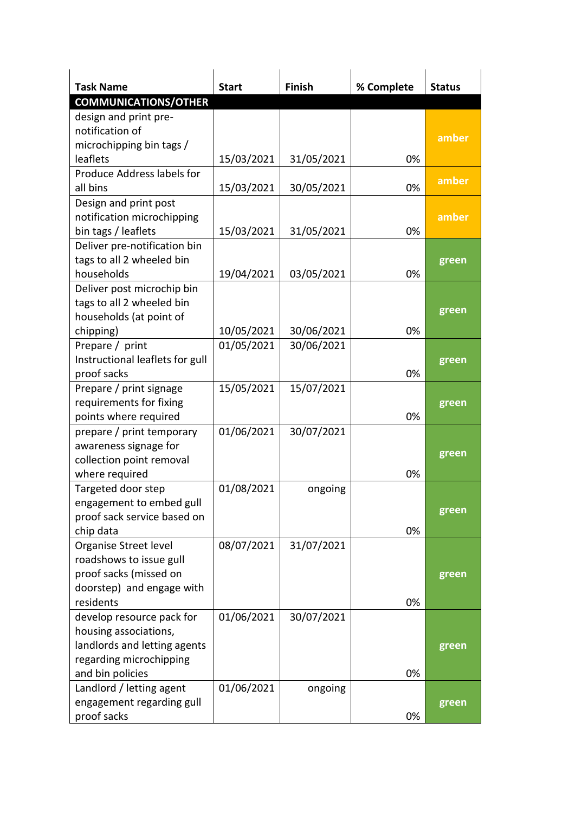| <b>Task Name</b>                | <b>Start</b> | <b>Finish</b> | % Complete | <b>Status</b> |
|---------------------------------|--------------|---------------|------------|---------------|
| <b>COMMUNICATIONS/OTHER</b>     |              |               |            |               |
| design and print pre-           |              |               |            |               |
| notification of                 |              |               |            |               |
| microchipping bin tags /        |              |               |            | amber         |
| leaflets                        | 15/03/2021   | 31/05/2021    | 0%         |               |
| Produce Address labels for      |              |               |            |               |
| all bins                        | 15/03/2021   | 30/05/2021    | 0%         | amber         |
| Design and print post           |              |               |            |               |
| notification microchipping      |              |               |            | amber         |
| bin tags / leaflets             | 15/03/2021   | 31/05/2021    | 0%         |               |
| Deliver pre-notification bin    |              |               |            |               |
| tags to all 2 wheeled bin       |              |               |            | green         |
| households                      | 19/04/2021   | 03/05/2021    | 0%         |               |
| Deliver post microchip bin      |              |               |            |               |
| tags to all 2 wheeled bin       |              |               |            |               |
| households (at point of         |              |               |            | green         |
| chipping)                       | 10/05/2021   | 30/06/2021    | 0%         |               |
| Prepare / print                 | 01/05/2021   | 30/06/2021    |            |               |
| Instructional leaflets for gull |              |               |            | green         |
| proof sacks                     |              |               | 0%         |               |
| Prepare / print signage         | 15/05/2021   | 15/07/2021    |            |               |
| requirements for fixing         |              |               |            | green         |
| points where required           |              |               | 0%         |               |
| prepare / print temporary       | 01/06/2021   | 30/07/2021    |            |               |
| awareness signage for           |              |               |            |               |
| collection point removal        |              |               |            | green         |
| where required                  |              |               | 0%         |               |
| Targeted door step              | 01/08/2021   | ongoing       |            |               |
| engagement to embed gull        |              |               |            |               |
| proof sack service based on     |              |               |            | green         |
| chip data                       |              |               | 0%         |               |
| Organise Street level           | 08/07/2021   | 31/07/2021    |            |               |
| roadshows to issue gull         |              |               |            |               |
| proof sacks (missed on          |              |               |            | green         |
| doorstep) and engage with       |              |               |            |               |
| residents                       |              |               | 0%         |               |
| develop resource pack for       | 01/06/2021   | 30/07/2021    |            |               |
| housing associations,           |              |               |            |               |
| landlords and letting agents    |              |               |            | green         |
| regarding microchipping         |              |               |            |               |
| and bin policies                |              |               | 0%         |               |
| Landlord / letting agent        | 01/06/2021   | ongoing       |            |               |
| engagement regarding gull       |              |               |            | green         |
| proof sacks                     |              |               | 0%         |               |